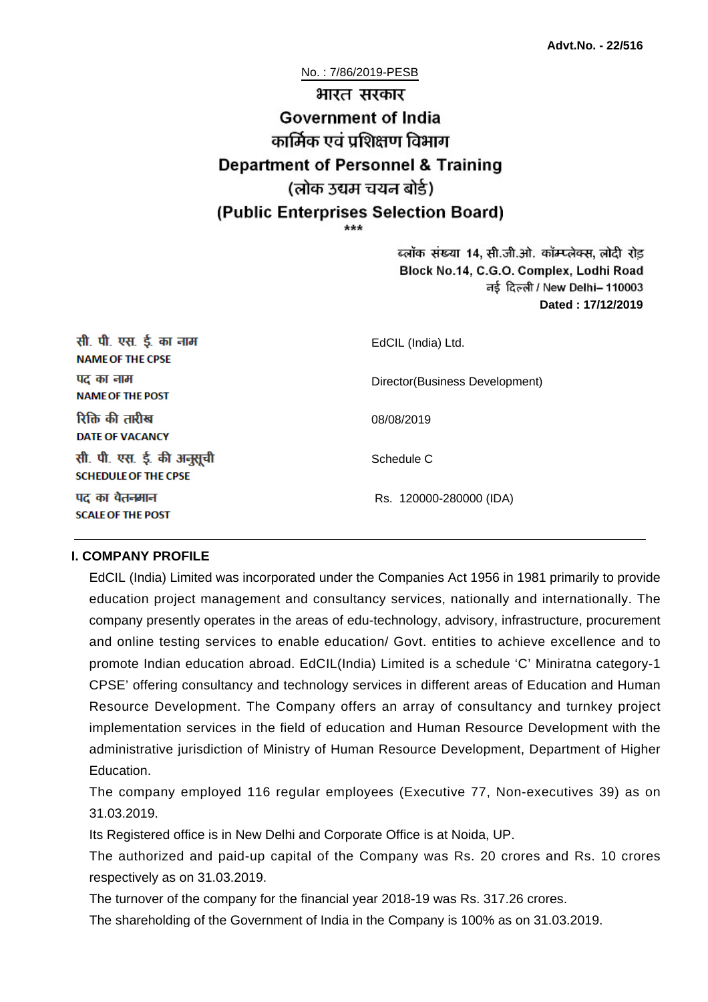No. : 7/86/2019-PESB

# भारत सरकार **Government of India** कार्मिक एवं पशिक्षण विभाग **Department of Personnel & Training** (लोक उद्यम चयन बोर्ड) (Public Enterprises Selection Board)

ब्लॉक संख्या 14, सी.जी.ओ. कॉम्प्लेक्स, लोदी रोड Block No.14, C.G.O. Complex, Lodhi Road ਰई दिल्ली / New Delhi– 110003 **Dated : 17/12/2019**

| सी. पी. एस. ई. का नाम<br><b>NAME OF THE CPSE</b>         | EdCIL (India) Ltd.             |  |
|----------------------------------------------------------|--------------------------------|--|
| पद का नाम<br><b>NAME OF THE POST</b>                     | Director(Business Development) |  |
| रिक्ति की तारीख<br>DATE OF VACANCY                       | 08/08/2019                     |  |
| सी. पी. एस. ई. की अनुसूची<br><b>SCHEDULE OF THE CPSE</b> | Schedule C                     |  |
| पद का वेतनमान<br><b>SCALE OF THE POST</b>                | Rs. 120000-280000 (IDA)        |  |

#### **I. COMPANY PROFILE**

EdCIL (India) Limited was incorporated under the Companies Act 1956 in 1981 primarily to provide education project management and consultancy services, nationally and internationally. The company presently operates in the areas of edu-technology, advisory, infrastructure, procurement and online testing services to enable education/ Govt. entities to achieve excellence and to promote Indian education abroad. EdCIL(India) Limited is a schedule 'C' Miniratna category-1 CPSE' offering consultancy and technology services in different areas of Education and Human Resource Development. The Company offers an array of consultancy and turnkey project implementation services in the field of education and Human Resource Development with the administrative jurisdiction of Ministry of Human Resource Development, Department of Higher Education.

The company employed 116 regular employees (Executive 77, Non-executives 39) as on 31.03.2019.

Its Registered office is in New Delhi and Corporate Office is at Noida, UP.

The authorized and paid-up capital of the Company was Rs. 20 crores and Rs. 10 crores respectively as on 31.03.2019.

The turnover of the company for the financial year 2018-19 was Rs. 317.26 crores.

The shareholding of the Government of India in the Company is 100% as on 31.03.2019.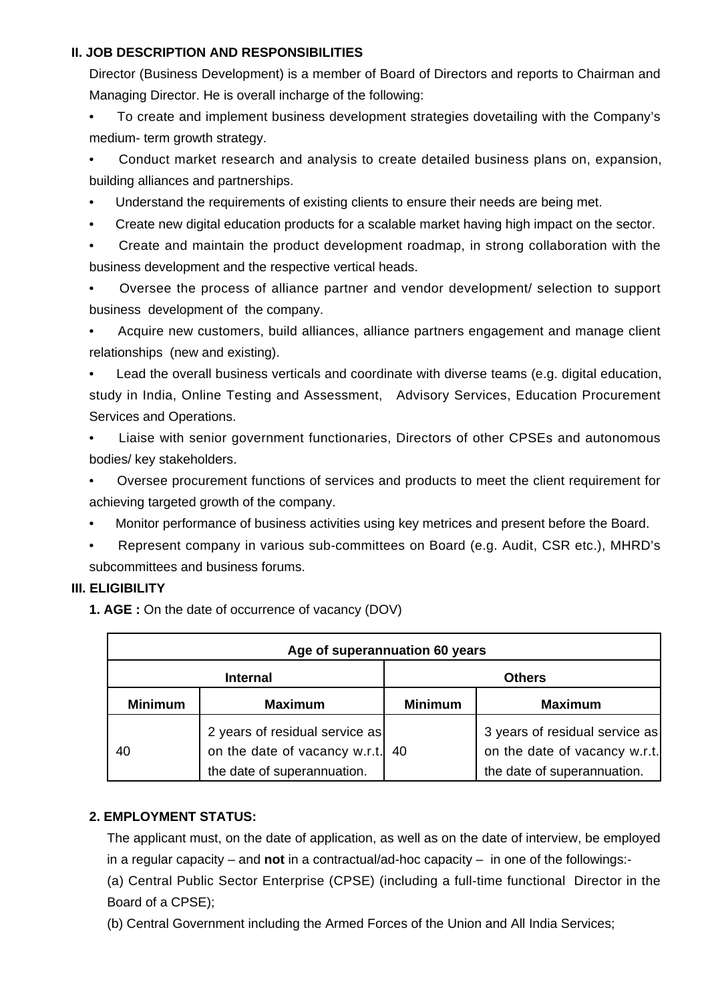## **II. JOB DESCRIPTION AND RESPONSIBILITIES**

Director (Business Development) is a member of Board of Directors and reports to Chairman and Managing Director. He is overall incharge of the following:

• To create and implement business development strategies dovetailing with the Company's medium- term growth strategy.

• Conduct market research and analysis to create detailed business plans on, expansion, building alliances and partnerships.

- Understand the requirements of existing clients to ensure their needs are being met.
- Create new digital education products for a scalable market having high impact on the sector.

• Create and maintain the product development roadmap, in strong collaboration with the business development and the respective vertical heads.

• Oversee the process of alliance partner and vendor development/ selection to support business development of the company.

• Acquire new customers, build alliances, alliance partners engagement and manage client relationships (new and existing).

• Lead the overall business verticals and coordinate with diverse teams (e.g. digital education, study in India, Online Testing and Assessment, Advisory Services, Education Procurement Services and Operations.

• Liaise with senior government functionaries, Directors of other CPSEs and autonomous bodies/ key stakeholders.

• Oversee procurement functions of services and products to meet the client requirement for achieving targeted growth of the company.

- Monitor performance of business activities using key metrices and present before the Board.
- Represent company in various sub-committees on Board (e.g. Audit, CSR etc.), MHRD's subcommittees and business forums.

## **III. ELIGIBILITY**

**1. AGE :** On the date of occurrence of vacancy (DOV)

| Age of superannuation 60 years |                                                                                                   |                |                                                                                                |
|--------------------------------|---------------------------------------------------------------------------------------------------|----------------|------------------------------------------------------------------------------------------------|
| <b>Internal</b>                |                                                                                                   | <b>Others</b>  |                                                                                                |
| <b>Minimum</b>                 | <b>Maximum</b>                                                                                    | <b>Minimum</b> | <b>Maximum</b>                                                                                 |
| 40                             | 2 years of residual service as<br>on the date of vacancy w.r.t. 40<br>the date of superannuation. |                | 3 years of residual service as<br>on the date of vacancy w.r.t.<br>the date of superannuation. |

## **2. EMPLOYMENT STATUS:**

The applicant must, on the date of application, as well as on the date of interview, be employed in a regular capacity – and **not** in a contractual/ad-hoc capacity – in one of the followings:-

(a) Central Public Sector Enterprise (CPSE) (including a full-time functional Director in the Board of a CPSE);

(b) Central Government including the Armed Forces of the Union and All India Services;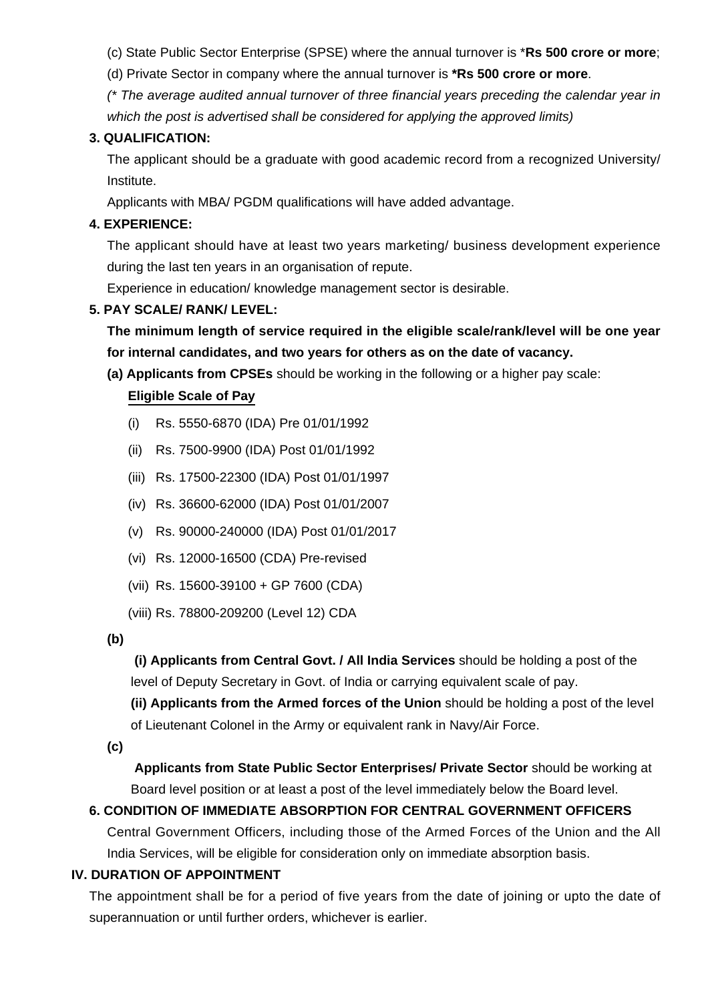(c) State Public Sector Enterprise (SPSE) where the annual turnover is \***Rs 500 crore or more**;

(d) Private Sector in company where the annual turnover is **\*Rs 500 crore or more**.

(\* The average audited annual turnover of three financial years preceding the calendar year in which the post is advertised shall be considered for applying the approved limits)

## **3. QUALIFICATION:**

The applicant should be a graduate with good academic record from a recognized University/ Institute.

Applicants with MBA/ PGDM qualifications will have added advantage.

## **4. EXPERIENCE:**

The applicant should have at least two years marketing/ business development experience during the last ten years in an organisation of repute.

Experience in education/ knowledge management sector is desirable.

## **5. PAY SCALE/ RANK/ LEVEL:**

**The minimum length of service required in the eligible scale/rank/level will be one year for internal candidates, and two years for others as on the date of vacancy.**

**(a) Applicants from CPSEs** should be working in the following or a higher pay scale:

## **Eligible Scale of Pay**

- (i) Rs. 5550-6870 (IDA) Pre 01/01/1992
- (ii) Rs. 7500-9900 (IDA) Post 01/01/1992
- (iii) Rs. 17500-22300 (IDA) Post 01/01/1997
- (iv) Rs. 36600-62000 (IDA) Post 01/01/2007
- (v) Rs. 90000-240000 (IDA) Post 01/01/2017
- (vi) Rs. 12000-16500 (CDA) Pre-revised
- (vii) Rs. 15600-39100 + GP 7600 (CDA)
- (viii) Rs. 78800-209200 (Level 12) CDA

**(b)**

**(i) Applicants from Central Govt. / All India Services** should be holding a post of the level of Deputy Secretary in Govt. of India or carrying equivalent scale of pay.

**(ii) Applicants from the Armed forces of the Union** should be holding a post of the level of Lieutenant Colonel in the Army or equivalent rank in Navy/Air Force.

**(c)**

 **Applicants from State Public Sector Enterprises/ Private Sector** should be working at Board level position or at least a post of the level immediately below the Board level.

## **6. CONDITION OF IMMEDIATE ABSORPTION FOR CENTRAL GOVERNMENT OFFICERS**

Central Government Officers, including those of the Armed Forces of the Union and the All India Services, will be eligible for consideration only on immediate absorption basis.

## **IV. DURATION OF APPOINTMENT**

The appointment shall be for a period of five years from the date of joining or upto the date of superannuation or until further orders, whichever is earlier.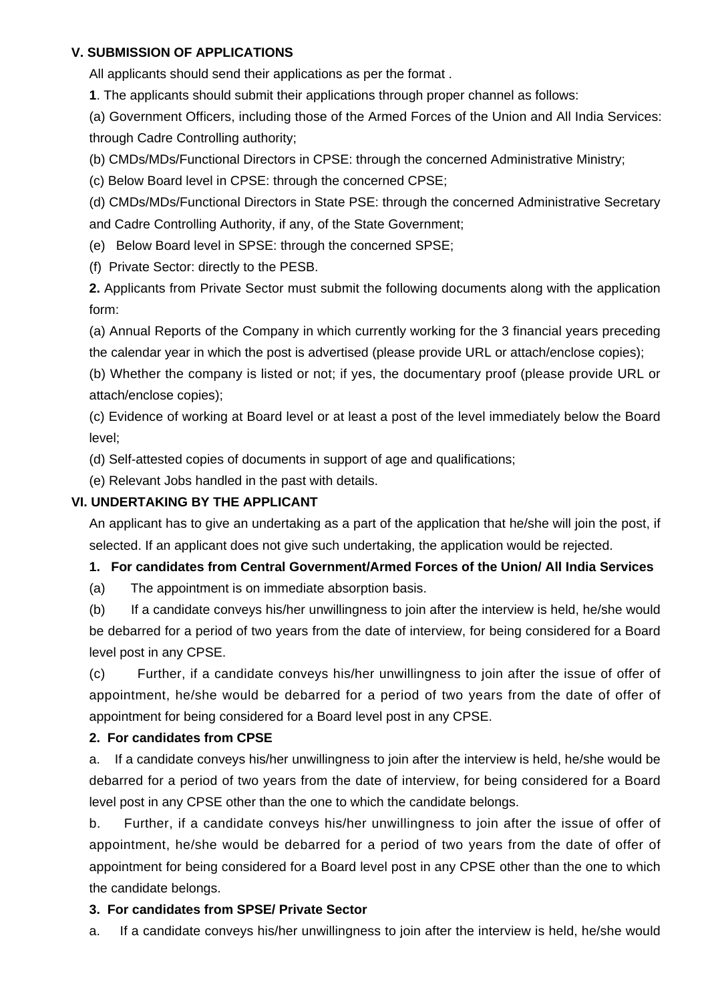#### **V. SUBMISSION OF APPLICATIONS**

All applicants should send their applications as per the format .

**1**. The applicants should submit their applications through proper channel as follows:

(a) Government Officers, including those of the Armed Forces of the Union and All India Services: through Cadre Controlling authority;

(b) CMDs/MDs/Functional Directors in CPSE: through the concerned Administrative Ministry;

(c) Below Board level in CPSE: through the concerned CPSE;

(d) CMDs/MDs/Functional Directors in State PSE: through the concerned Administrative Secretary and Cadre Controlling Authority, if any, of the State Government;

(e) Below Board level in SPSE: through the concerned SPSE;

(f) Private Sector: directly to the PESB.

**2.** Applicants from Private Sector must submit the following documents along with the application form:

(a) Annual Reports of the Company in which currently working for the 3 financial years preceding the calendar year in which the post is advertised (please provide URL or attach/enclose copies);

(b) Whether the company is listed or not; if yes, the documentary proof (please provide URL or attach/enclose copies);

(c) Evidence of working at Board level or at least a post of the level immediately below the Board level;

(d) Self-attested copies of documents in support of age and qualifications;

(e) Relevant Jobs handled in the past with details.

## **VI. UNDERTAKING BY THE APPLICANT**

An applicant has to give an undertaking as a part of the application that he/she will join the post, if selected. If an applicant does not give such undertaking, the application would be rejected.

## **1. For candidates from Central Government/Armed Forces of the Union/ All India Services**

(a) The appointment is on immediate absorption basis.

(b) If a candidate conveys his/her unwillingness to join after the interview is held, he/she would be debarred for a period of two years from the date of interview, for being considered for a Board level post in any CPSE.

(c) Further, if a candidate conveys his/her unwillingness to join after the issue of offer of appointment, he/she would be debarred for a period of two years from the date of offer of appointment for being considered for a Board level post in any CPSE.

## **2. For candidates from CPSE**

a. If a candidate conveys his/her unwillingness to join after the interview is held, he/she would be debarred for a period of two years from the date of interview, for being considered for a Board level post in any CPSE other than the one to which the candidate belongs.

b. Further, if a candidate conveys his/her unwillingness to join after the issue of offer of appointment, he/she would be debarred for a period of two years from the date of offer of appointment for being considered for a Board level post in any CPSE other than the one to which the candidate belongs.

## **3. For candidates from SPSE/ Private Sector**

a. If a candidate conveys his/her unwillingness to join after the interview is held, he/she would